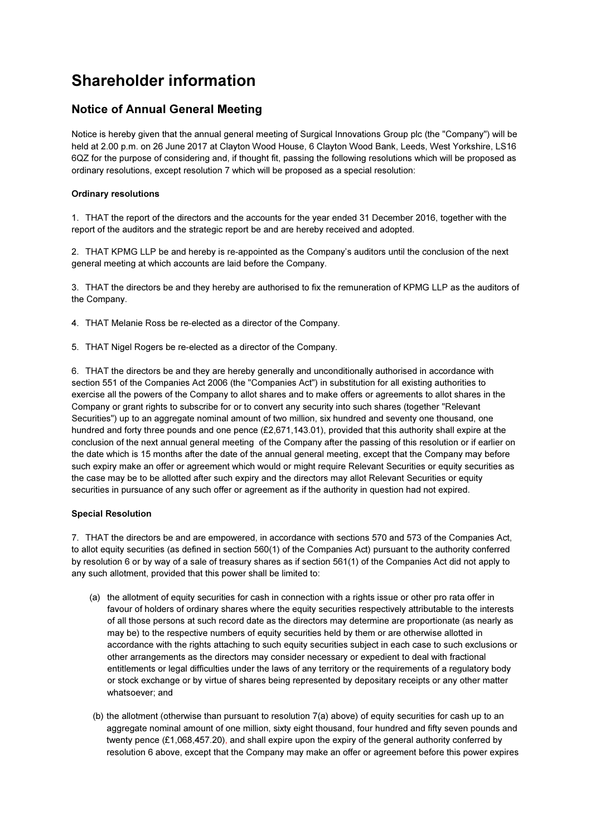# Shareholder information

## Notice of Annual General Meeting

Notice is hereby given that the annual general meeting of Surgical Innovations Group plc (the "Company") will be held at 2.00 p.m. on 26 June 2017 at Clayton Wood House, 6 Clayton Wood Bank, Leeds, West Yorkshire, LS16 6QZ for the purpose of considering and, if thought fit, passing the following resolutions which will be proposed as ordinary resolutions, except resolution 7 which will be proposed as a special resolution:

## Ordinary resolutions

1. THAT the report of the directors and the accounts for the year ended 31 December 2016, together with the report of the auditors and the strategic report be and are hereby received and adopted.

2. THAT KPMG LLP be and hereby is re-appointed as the Company's auditors until the conclusion of the next general meeting at which accounts are laid before the Company.

3. THAT the directors be and they hereby are authorised to fix the remuneration of KPMG LLP as the auditors of the Company.

4. THAT Melanie Ross be re-elected as a director of the Company.

5. THAT Nigel Rogers be re-elected as a director of the Company.

6. THAT the directors be and they are hereby generally and unconditionally authorised in accordance with section 551 of the Companies Act 2006 (the "Companies Act") in substitution for all existing authorities to exercise all the powers of the Company to allot shares and to make offers or agreements to allot shares in the Company or grant rights to subscribe for or to convert any security into such shares (together "Relevant Securities") up to an aggregate nominal amount of two million, six hundred and seventy one thousand, one hundred and forty three pounds and one pence (£2,671,143.01), provided that this authority shall expire at the conclusion of the next annual general meeting of the Company after the passing of this resolution or if earlier on the date which is 15 months after the date of the annual general meeting, except that the Company may before such expiry make an offer or agreement which would or might require Relevant Securities or equity securities as the case may be to be allotted after such expiry and the directors may allot Relevant Securities or equity securities in pursuance of any such offer or agreement as if the authority in question had not expired.

### Special Resolution

7. THAT the directors be and are empowered, in accordance with sections 570 and 573 of the Companies Act, to allot equity securities (as defined in section 560(1) of the Companies Act) pursuant to the authority conferred by resolution 6 or by way of a sale of treasury shares as if section 561(1) of the Companies Act did not apply to any such allotment, provided that this power shall be limited to:

- (a) the allotment of equity securities for cash in connection with a rights issue or other pro rata offer in favour of holders of ordinary shares where the equity securities respectively attributable to the interests of all those persons at such record date as the directors may determine are proportionate (as nearly as may be) to the respective numbers of equity securities held by them or are otherwise allotted in accordance with the rights attaching to such equity securities subject in each case to such exclusions or other arrangements as the directors may consider necessary or expedient to deal with fractional entitlements or legal difficulties under the laws of any territory or the requirements of a regulatory body or stock exchange or by virtue of shares being represented by depositary receipts or any other matter whatsoever; and
- (b) the allotment (otherwise than pursuant to resolution 7(a) above) of equity securities for cash up to an aggregate nominal amount of one million, sixty eight thousand, four hundred and fifty seven pounds and twenty pence (£1,068,457.20), and shall expire upon the expiry of the general authority conferred by resolution 6 above, except that the Company may make an offer or agreement before this power expires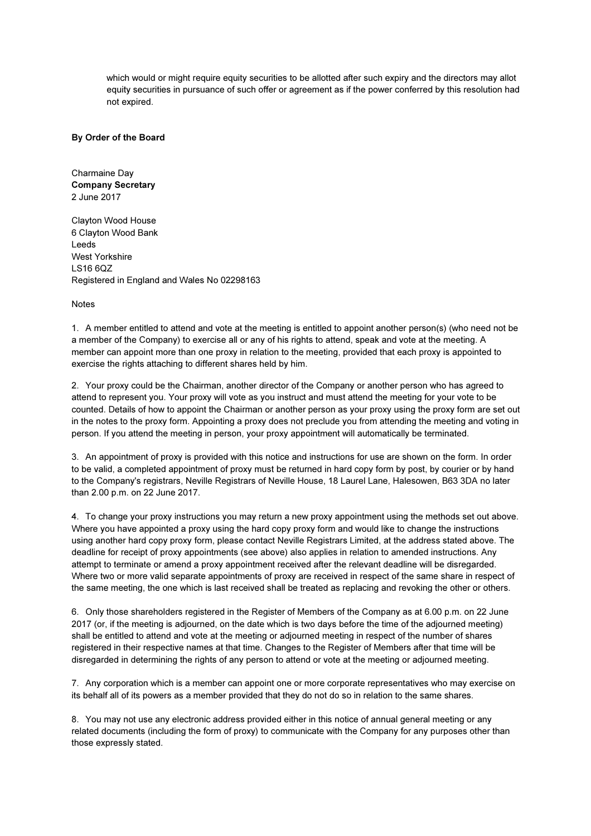which would or might require equity securities to be allotted after such expiry and the directors may allot equity securities in pursuance of such offer or agreement as if the power conferred by this resolution had not expired.

#### By Order of the Board

Charmaine Day Company Secretary 2 June 2017

Clayton Wood House 6 Clayton Wood Bank Leeds West Yorkshire LS16 6QZ Registered in England and Wales No 02298163

Notes

1. A member entitled to attend and vote at the meeting is entitled to appoint another person(s) (who need not be a member of the Company) to exercise all or any of his rights to attend, speak and vote at the meeting. A member can appoint more than one proxy in relation to the meeting, provided that each proxy is appointed to exercise the rights attaching to different shares held by him.

2. Your proxy could be the Chairman, another director of the Company or another person who has agreed to attend to represent you. Your proxy will vote as you instruct and must attend the meeting for your vote to be counted. Details of how to appoint the Chairman or another person as your proxy using the proxy form are set out in the notes to the proxy form. Appointing a proxy does not preclude you from attending the meeting and voting in person. If you attend the meeting in person, your proxy appointment will automatically be terminated.

3. An appointment of proxy is provided with this notice and instructions for use are shown on the form. In order to be valid, a completed appointment of proxy must be returned in hard copy form by post, by courier or by hand to the Company's registrars, Neville Registrars of Neville House, 18 Laurel Lane, Halesowen, B63 3DA no later than 2.00 p.m. on 22 June 2017.

4. To change your proxy instructions you may return a new proxy appointment using the methods set out above. Where you have appointed a proxy using the hard copy proxy form and would like to change the instructions using another hard copy proxy form, please contact Neville Registrars Limited, at the address stated above. The deadline for receipt of proxy appointments (see above) also applies in relation to amended instructions. Any attempt to terminate or amend a proxy appointment received after the relevant deadline will be disregarded. Where two or more valid separate appointments of proxy are received in respect of the same share in respect of the same meeting, the one which is last received shall be treated as replacing and revoking the other or others.

6. Only those shareholders registered in the Register of Members of the Company as at 6.00 p.m. on 22 June 2017 (or, if the meeting is adjourned, on the date which is two days before the time of the adjourned meeting) shall be entitled to attend and vote at the meeting or adjourned meeting in respect of the number of shares registered in their respective names at that time. Changes to the Register of Members after that time will be disregarded in determining the rights of any person to attend or vote at the meeting or adjourned meeting.

7. Any corporation which is a member can appoint one or more corporate representatives who may exercise on its behalf all of its powers as a member provided that they do not do so in relation to the same shares.

8. You may not use any electronic address provided either in this notice of annual general meeting or any related documents (including the form of proxy) to communicate with the Company for any purposes other than those expressly stated.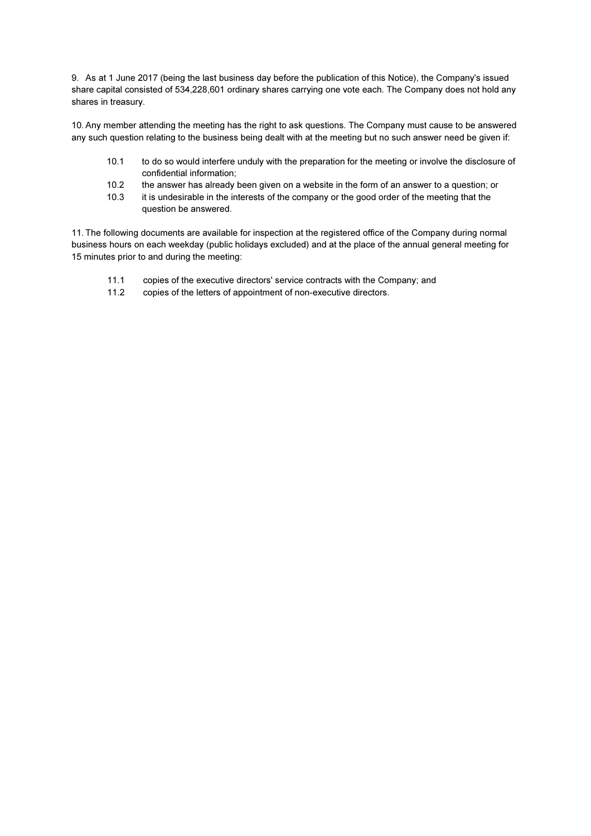9. As at 1 June 2017 (being the last business day before the publication of this Notice), the Company's issued share capital consisted of 534,228,601 ordinary shares carrying one vote each. The Company does not hold any shares in treasury.

10. Any member attending the meeting has the right to ask questions. The Company must cause to be answered any such question relating to the business being dealt with at the meeting but no such answer need be given if:

- 10.1 to do so would interfere unduly with the preparation for the meeting or involve the disclosure of confidential information;
- 10.2 the answer has already been given on a website in the form of an answer to a question; or
- 10.3 it is undesirable in the interests of the company or the good order of the meeting that the question be answered.

11. The following documents are available for inspection at the registered office of the Company during normal business hours on each weekday (public holidays excluded) and at the place of the annual general meeting for 15 minutes prior to and during the meeting:

- 11.1 copies of the executive directors' service contracts with the Company; and
- 11.2 copies of the letters of appointment of non-executive directors.